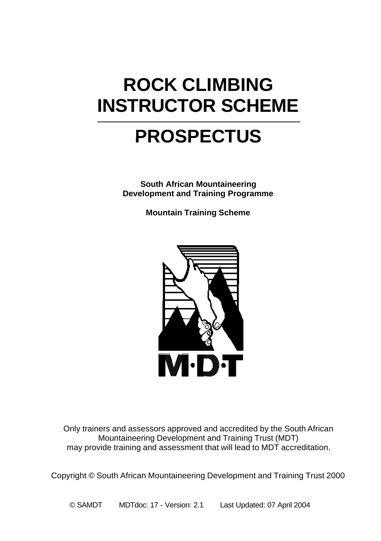# **ROCK CLIMBING INSTRUCTOR SCHEME**

# **PROSPECTUS**

**South African Mountaineering Development and Training Programme**

**Mountain Training Scheme**



Only trainers and assessors approved and accredited by the South African Mountaineering Development and Training Trust (MDT) may provide training and assessment that will lead to MDT accreditation.

Copyright © South African Mountaineering Development and Training Trust 2000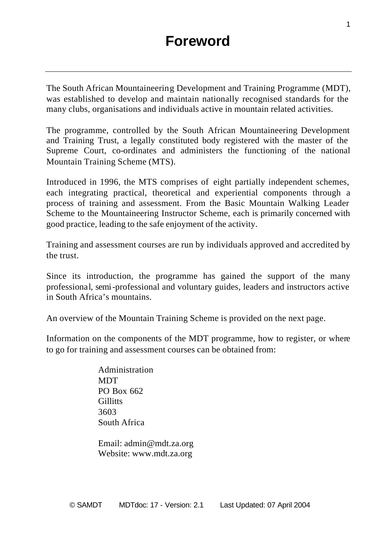The South African Mountaineering Development and Training Programme (MDT), was established to develop and maintain nationally recognised standards for the many clubs, organisations and individuals active in mountain related activities.

The programme, controlled by the South African Mountaineering Development and Training Trust, a legally constituted body registered with the master of the Supreme Court, co-ordinates and administers the functioning of the national Mountain Training Scheme (MTS).

Introduced in 1996, the MTS comprises of eight partially independent schemes, each integrating practical, theoretical and experiential components through a process of training and assessment. From the Basic Mountain Walking Leader Scheme to the Mountaineering Instructor Scheme, each is primarily concerned with good practice, leading to the safe enjoyment of the activity.

Training and assessment courses are run by individuals approved and accredited by the trust.

Since its introduction, the programme has gained the support of the many professional, semi-professional and voluntary guides, leaders and instructors active in South Africa's mountains.

An overview of the Mountain Training Scheme is provided on the next page.

Information on the components of the MDT programme, how to register, or where to go for training and assessment courses can be obtained from:

> Administration **MDT** PO Box 662 **Gillitts** 3603 South Africa

Email: admin@mdt.za.org Website: www.mdt.za.org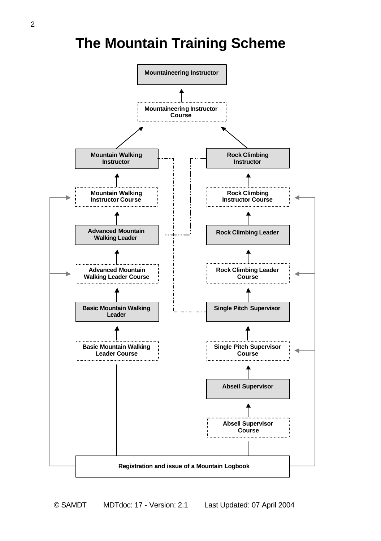### **The Mountain Training Scheme**

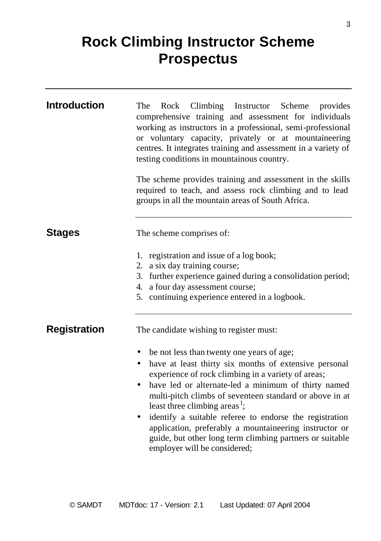## **Rock Climbing Instructor Scheme Prospectus**

| <b>Introduction</b> | Rock Climbing Instructor Scheme provides<br>The<br>comprehensive training and assessment for individuals<br>working as instructors in a professional, semi-professional<br>or voluntary capacity, privately or at mountaineering<br>centres. It integrates training and assessment in a variety of<br>testing conditions in mountainous country.<br>The scheme provides training and assessment in the skills<br>required to teach, and assess rock climbing and to lead<br>groups in all the mountain areas of South Africa.                              |
|---------------------|------------------------------------------------------------------------------------------------------------------------------------------------------------------------------------------------------------------------------------------------------------------------------------------------------------------------------------------------------------------------------------------------------------------------------------------------------------------------------------------------------------------------------------------------------------|
| <b>Stages</b>       | The scheme comprises of:                                                                                                                                                                                                                                                                                                                                                                                                                                                                                                                                   |
|                     | 1. registration and issue of a log book;<br>2. a six day training course;<br>3. further experience gained during a consolidation period;<br>4. a four day assessment course;<br>5. continuing experience entered in a logbook.                                                                                                                                                                                                                                                                                                                             |
| <b>Registration</b> | The candidate wishing to register must:                                                                                                                                                                                                                                                                                                                                                                                                                                                                                                                    |
|                     | be not less than twenty one years of age;<br>have at least thirty six months of extensive personal<br>$\bullet$<br>experience of rock climbing in a variety of areas;<br>have led or alternate-led a minimum of thirty named<br>٠<br>multi-pitch climbs of seventeen standard or above in at<br>least three climbing areas <sup>1</sup> ;<br>identify a suitable referee to endorse the registration<br>application, preferably a mountaineering instructor or<br>guide, but other long term climbing partners or suitable<br>employer will be considered; |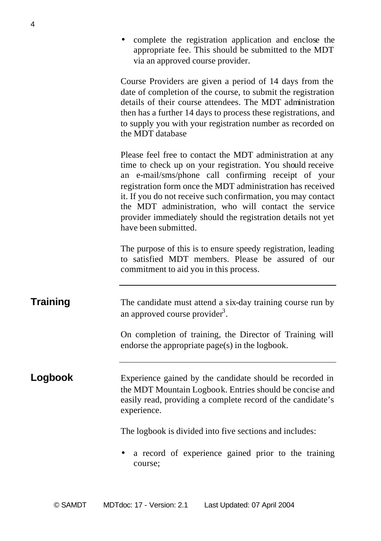• complete the registration application and enclose the appropriate fee. This should be submitted to the MDT via an approved course provider.

Course Providers are given a period of 14 days from the date of completion of the course, to submit the registration details of their course attendees. The MDT administration then has a further 14 days to process these registrations, and to supply you with your registration number as recorded on the MDT database

Please feel free to contact the MDT administration at any time to check up on your registration. You should receive an e-mail/sms/phone call confirming receipt of your registration form once the MDT administration has received it. If you do not receive such confirmation, you may contact the MDT administration, who will contact the service provider immediately should the registration details not yet have been submitted.

The purpose of this is to ensure speedy registration, leading to satisfied MDT members. Please be assured of our commitment to aid you in this process.

**Training** The candidate must attend a six-day training course run by an approved course provider<sup>3</sup>.

> On completion of training, the Director of Training will endorse the appropriate page(s) in the logbook.

**Logbook** Experience gained by the candidate should be recorded in the MDT Mountain Logbook. Entries should be concise and easily read, providing a complete record of the candidate's experience.

The logbook is divided into five sections and includes:

• a record of experience gained prior to the training course;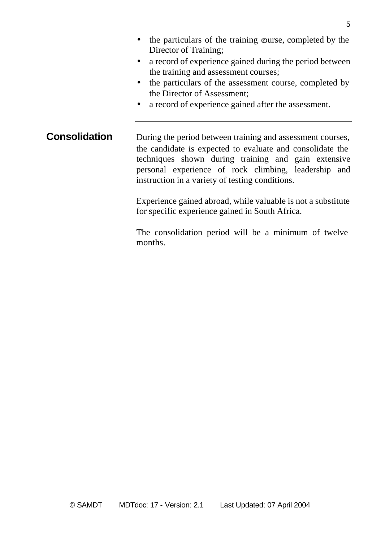- the particulars of the training course, completed by the Director of Training;
- a record of experience gained during the period between the training and assessment courses;
- the particulars of the assessment course, completed by the Director of Assessment;
- a record of experience gained after the assessment.

**Consolidation** During the period between training and assessment courses, the candidate is expected to evaluate and consolidate the techniques shown during training and gain extensive personal experience of rock climbing, leadership and instruction in a variety of testing conditions.

> Experience gained abroad, while valuable is not a substitute for specific experience gained in South Africa.

> The consolidation period will be a minimum of twelve months.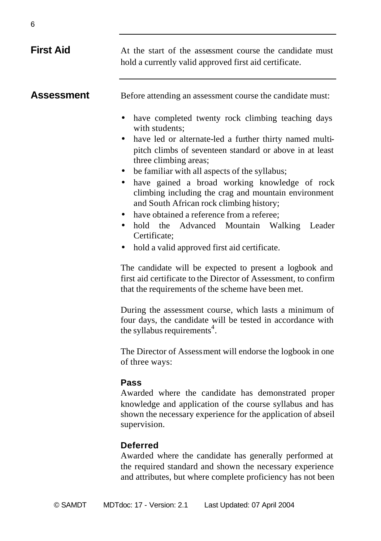| <b>First Aid</b>  | At the start of the assessment course the candidate must<br>hold a currently valid approved first aid certificate.                                                                                                                                                                                                                                                                                                                                  |
|-------------------|-----------------------------------------------------------------------------------------------------------------------------------------------------------------------------------------------------------------------------------------------------------------------------------------------------------------------------------------------------------------------------------------------------------------------------------------------------|
| <b>Assessment</b> | Before attending an assessment course the candidate must:<br>have completed twenty rock climbing teaching days<br>٠<br>with students;<br>have led or alternate-led a further thirty named multi-<br>٠<br>pitch climbs of seventeen standard or above in at least<br>three climbing areas;<br>be familiar with all aspects of the syllabus;<br>have gained a broad working knowledge of rock<br>climbing including the crag and mountain environment |
|                   | and South African rock climbing history;<br>have obtained a reference from a referee;<br>hold the Advanced Mountain Walking<br>Leader<br>$\bullet$<br>Certificate:<br>hold a valid approved first aid certificate.<br>$\bullet$<br>The candidate will be expected to present a logbook and<br>first aid certificate to the Director of Assessment, to confirm<br>that the requirements of the scheme have been met.                                 |
|                   | During the assessment course, which lasts a minimum of<br>four days, the candidate will be tested in accordance with<br>the syllabus requirements <sup>4</sup> .                                                                                                                                                                                                                                                                                    |
|                   | The Director of Assessment will endorse the logbook in one<br>of three ways:                                                                                                                                                                                                                                                                                                                                                                        |
|                   | Pass<br>Awarded where the candidate has demonstrated proper<br>knowledge and application of the course syllabus and has<br>shown the necessary experience for the application of abseil<br>supervision.                                                                                                                                                                                                                                             |
|                   | <b>Deferred</b><br>Awarded where the candidate has generally performed at                                                                                                                                                                                                                                                                                                                                                                           |

the required standard and shown the necessary experience and attributes, but where complete proficiency has not been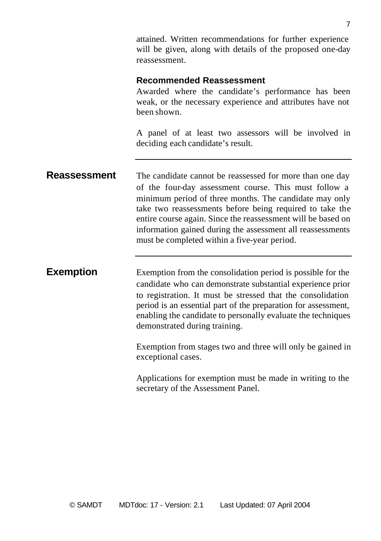attained. Written recommendations for further experience will be given, along with details of the proposed one-day reassessment.

### **Recommended Reassessment**

Awarded where the candidate's performance has been weak, or the necessary experience and attributes have not been shown.

A panel of at least two assessors will be involved in deciding each candidate's result.

**Reassessment** The candidate cannot be reassessed for more than one day of the four-day assessment course. This must follow a minimum period of three months. The candidate may only take two reassessments before being required to take the entire course again. Since the reassessment will be based on information gained during the assessment all reassessments must be completed within a five-year period.

**Exemption** Exemption from the consolidation period is possible for the candidate who can demonstrate substantial experience prior to registration. It must be stressed that the consolidation period is an essential part of the preparation for assessment, enabling the candidate to personally evaluate the techniques demonstrated during training.

> Exemption from stages two and three will only be gained in exceptional cases.

> Applications for exemption must be made in writing to the secretary of the Assessment Panel.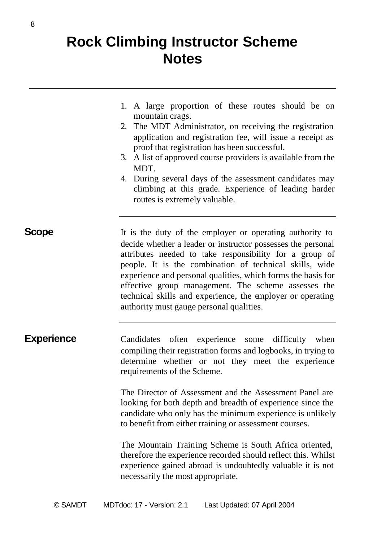### **Rock Climbing Instructor Scheme Notes**

- 1. A large proportion of these routes should be on mountain crags.
- 2. The MDT Administrator, on receiving the registration application and registration fee, will issue a receipt as proof that registration has been successful.
- 3. A list of approved course providers is available from the MDT.
- 4. During several days of the assessment candidates may climbing at this grade. Experience of leading harder routes is extremely valuable.

**Scope** It is the duty of the employer or operating authority to decide whether a leader or instructor possesses the personal attributes needed to take responsibility for a group of people. It is the combination of technical skills, wide experience and personal qualities, which forms the basis for effective group management. The scheme assesses the technical skills and experience, the employer or operating authority must gauge personal qualities.

**Experience** Candidates often experience some difficulty when compiling their registration forms and logbooks, in trying to determine whether or not they meet the experience requirements of the Scheme.

> The Director of Assessment and the Assessment Panel are looking for both depth and breadth of experience since the candidate who only has the minimum experience is unlikely to benefit from either training or assessment courses.

> The Mountain Training Scheme is South Africa oriented, therefore the experience recorded should reflect this. Whilst experience gained abroad is undoubtedly valuable it is not necessarily the most appropriate.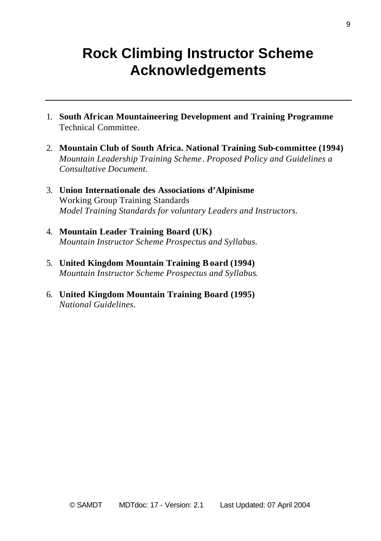## **Rock Climbing Instructor Scheme Acknowledgements**

- 1. **South African Mountaineering Development and Training Programme** Technical Committee.
- 2. **Mountain Club of South Africa. National Training Sub-committee (1994)** *Mountain Leadership Training Scheme*. *Proposed Policy and Guidelines a Consultative Document.*
- 3. **Union Internationale des Associations d'Alpinisme** Working Group Training Standards *Model Training Standards for voluntary Leaders and Instructors.*
- 4. **Mountain Leader Training Board (UK)** *Mountain Instructor Scheme Prospectus and Syllabus.*
- 5. **United Kingdom Mountain Training Board (1994)** *Mountain Instructor Scheme Prospectus and Syllabus*.
- 6. **United Kingdom Mountain Training Board (1995)** *National Guidelines*.